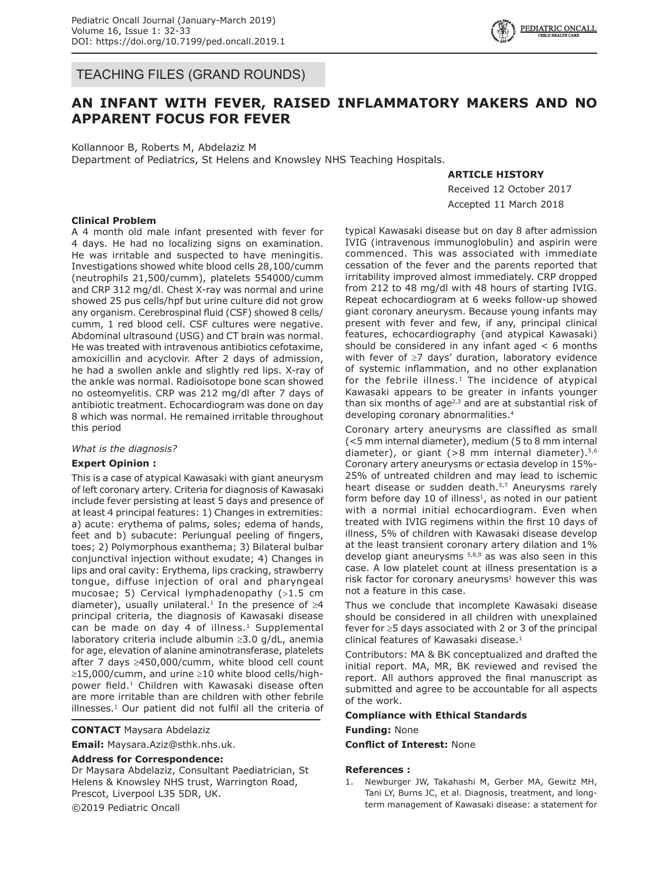

TEACHING FILES (GRAND ROUNDS)

# **AN INFANT WITH FEVER, RAISED INFLAMMATORY MAKERS AND NO APPARENT FOCUS FOR FEVER**

Kollannoor B, Roberts M, Abdelaziz M Department of Pediatrics, St Helens and Knowsley NHS Teaching Hospitals.

## **ARTICLE HISTORY**

Received 12 October 2017 Accepted 11 March 2018

## **Clinical Problem**

A 4 month old male infant presented with fever for 4 days. He had no localizing signs on examination. He was irritable and suspected to have meningitis. Investigations showed white blood cells 28,100/cumm (neutrophils 21,500/cumm), platelets 554000/cumm and CRP 312 mg/dl. Chest X-ray was normal and urine showed 25 pus cells/hpf but urine culture did not grow any organism. Cerebrospinal fluid (CSF) showed 8 cells/ cumm, 1 red blood cell. CSF cultures were negative. Abdominal ultrasound (USG) and CT brain was normal. He was treated with intravenous antibiotics cefotaxime, amoxicillin and acyclovir. After 2 days of admission, he had a swollen ankle and slightly red lips. X-ray of the ankle was normal. Radioisotope bone scan showed no osteomyelitis. CRP was 212 mg/dl after 7 days of antibiotic treatment. Echocardiogram was done on day 8 which was normal. He remained irritable throughout this period

#### *What is the diagnosis?*

## **Expert Opinion :**

This is a case of atypical Kawasaki with giant aneurysm of left coronary artery. Criteria for diagnosis of Kawasaki include fever persisting at least 5 days and presence of at least 4 principal features: 1) Changes in extremities: a) acute: erythema of palms, soles; edema of hands, feet and b) subacute: Periungual peeling of fingers, toes; 2) Polymorphous exanthema; 3) Bilateral bulbar conjunctival injection without exudate; 4) Changes in lips and oral cavity: Erythema, lips cracking, strawberry tongue, diffuse injection of oral and pharyngeal mucosae; 5) Cervical lymphadenopathy (>1.5 cm diameter), usually unilateral.<sup>1</sup> In the presence of  $\geq 4$ principal criteria, the diagnosis of Kawasaki disease can be made on day 4 of illness. $1$  Supplemental laboratory criteria include albumin ≥3.0 g/dL, anemia for age, elevation of alanine aminotransferase, platelets after 7 days ≥450,000/cumm, white blood cell count ≥15,000/cumm, and urine ≥10 white blood cells/highpower field.<sup>1</sup> Children with Kawasaki disease often are more irritable than are children with other febrile illnesses.<sup>1</sup> Our patient did not fulfil all the criteria of

#### **CONTACT** Maysara Abdelaziz

**Email:** Maysara.Aziz@sthk.nhs.uk.

### **Address for Correspondence:**

Dr Maysara Abdelaziz, Consultant Paediatrician, St Helens & Knowsley NHS trust, Warrington Road, Prescot, Liverpool L35 5DR, UK. ©2019 Pediatric Oncall

typical Kawasaki disease but on day 8 after admission IVIG (intravenous immunoglobulin) and aspirin were commenced. This was associated with immediate cessation of the fever and the parents reported that irritability improved almost immediately. CRP dropped from 212 to 48 mg/dl with 48 hours of starting IVIG. Repeat echocardiogram at 6 weeks follow-up showed giant coronary aneurysm. Because young infants may present with fever and few, if any, principal clinical features, echocardiography (and atypical Kawasaki) should be considered in any infant aged < 6 months with fever of ≥7 days' duration, laboratory evidence of systemic inflammation, and no other explanation for the febrile illness. $1$  The incidence of atypical Kawasaki appears to be greater in infants younger than six months of age $2,3$  and are at substantial risk of developing coronary abnormalities.4

Coronary artery aneurysms are classified as small (<5 mm internal diameter), medium (5 to 8 mm internal diameter), or giant  $(>8$  mm internal diameter).<sup>5,6</sup> Coronary artery aneurysms or ectasia develop in 15%- 25% of untreated children and may lead to ischemic heart disease or sudden death.<sup>5,7</sup> Aneurysms rarely form before day 10 of illness $1$ , as noted in our patient with a normal initial echocardiogram. Even when treated with IVIG regimens within the first 10 days of illness, 5% of children with Kawasaki disease develop at the least transient coronary artery dilation and 1% develop giant aneurysms  $5,8,9$  as was also seen in this case. A low platelet count at illness presentation is a risk factor for coronary aneurysms<sup>1</sup> however this was not a feature in this case.

Thus we conclude that incomplete Kawasaki disease should be considered in all children with unexplained fever for ≥5 days associated with 2 or 3 of the principal clinical features of Kawasaki disease.<sup>1</sup>

Contributors: MA & BK conceptualized and drafted the initial report. MA, MR, BK reviewed and revised the report. All authors approved the final manuscript as submitted and agree to be accountable for all aspects of the work.

#### **Compliance with Ethical Standards**

#### **Funding:** None

**Conflict of Interest:** None

#### **References :**

1. Newburger JW, Takahashi M, Gerber MA, Gewitz MH, Tani LY, Burns JC, et al. Diagnosis, treatment, and longterm management of Kawasaki disease: a statement for